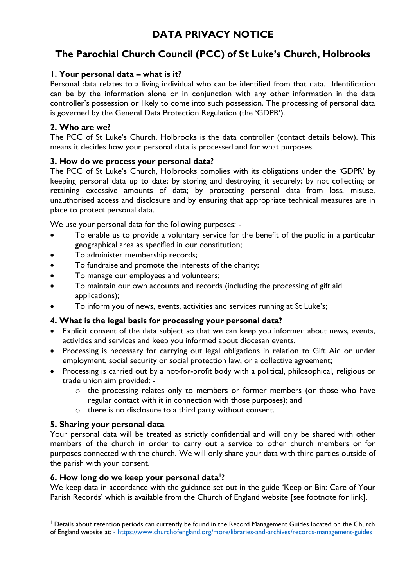# **The Parochial Church Council (PCC) of St Luke's Church, Holbrooks**

## **1. Your personal data – what is it?**

Personal data relates to a living individual who can be identified from that data. Identification can be by the information alone or in conjunction with any other information in the data controller's possession or likely to come into such possession. The processing of personal data is governed by the General Data Protection Regulation (the 'GDPR').

## **2. Who are we?**

The PCC of St Luke's Church, Holbrooks is the data controller (contact details below). This means it decides how your personal data is processed and for what purposes.

## **3. How do we process your personal data?**

The PCC of St Luke's Church, Holbrooks complies with its obligations under the 'GDPR' by keeping personal data up to date; by storing and destroying it securely; by not collecting or retaining excessive amounts of data; by protecting personal data from loss, misuse, unauthorised access and disclosure and by ensuring that appropriate technical measures are in place to protect personal data.

We use your personal data for the following purposes: -

- To enable us to provide a voluntary service for the benefit of the public in a particular geographical area as specified in our constitution;
- To administer membership records;
- To fundraise and promote the interests of the charity;
- To manage our employees and volunteers;
- To maintain our own accounts and records (including the processing of gift aid applications);
- To inform you of news, events, activities and services running at St Luke's;

# **4. What is the legal basis for processing your personal data?**

- Explicit consent of the data subject so that we can keep you informed about news, events, activities and services and keep you informed about diocesan events.
- Processing is necessary for carrying out legal obligations in relation to Gift Aid or under employment, social security or social protection law, or a collective agreement;
- Processing is carried out by a not-for-profit body with a political, philosophical, religious or trade union aim provided:
	- o the processing relates only to members or former members (or those who have regular contact with it in connection with those purposes); and
	- o there is no disclosure to a third party without consent.

# **5. Sharing your personal data**

Your personal data will be treated as strictly confidential and will only be shared with other members of the church in order to carry out a service to other church members or for purposes connected with the church. We will only share your data with third parties outside of the parish with your consent.

### **6. How long do we keep your personal data<sup>1</sup> ?**

We keep data in accordance with the guidance set out in the guide 'Keep or Bin: Care of Your Parish Records' which is available from the Church of England website [see footnote for link].

<sup>1</sup> <sup>1</sup> Details about retention periods can currently be found in the Record Management Guides located on the Church of England website at: - <https://www.churchofengland.org/more/libraries-and-archives/records-management-guides>